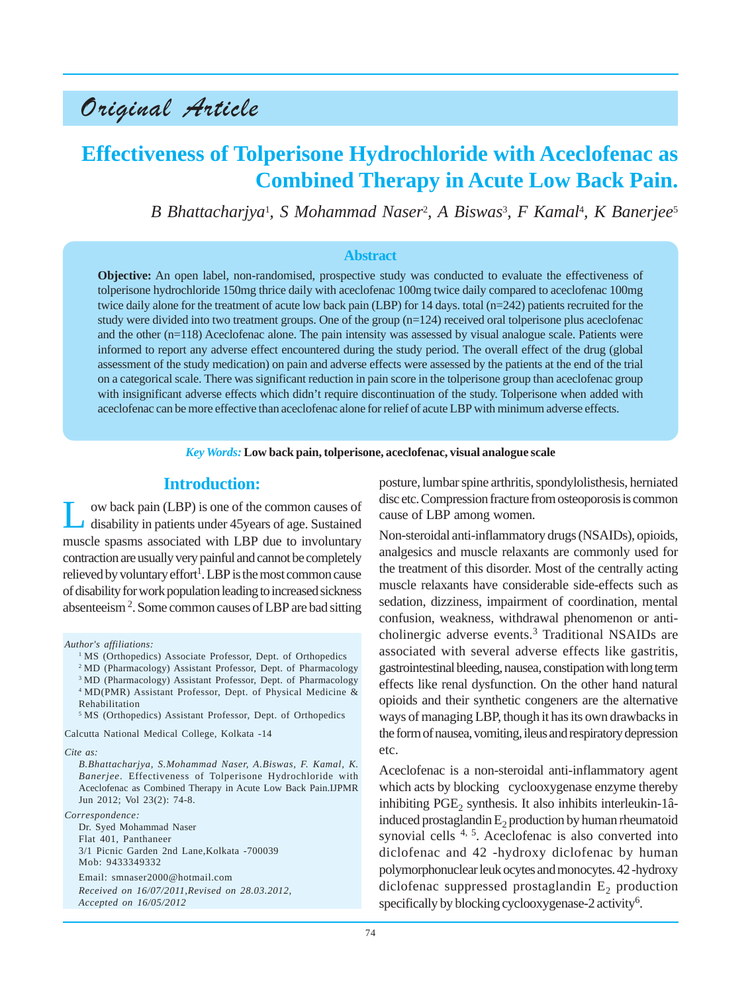# Original Article

## **Effectiveness of Tolperisone Hydrochloride with Aceclofenac as Combined Therapy in Acute Low Back Pain.**

*B Bhattacharjya*<sup>1</sup> *, S Mohammad Naser*<sup>2</sup> *, A Biswas*<sup>3</sup> *, F Kamal*<sup>4</sup> *, K Banerjee*<sup>5</sup>

#### **Abstract**

**Objective:** An open label, non-randomised, prospective study was conducted to evaluate the effectiveness of tolperisone hydrochloride 150mg thrice daily with aceclofenac 100mg twice daily compared to aceclofenac 100mg twice daily alone for the treatment of acute low back pain (LBP) for 14 days. total (n=242) patients recruited for the study were divided into two treatment groups. One of the group  $(n=124)$  received oral tolperisone plus aceclofenac and the other (n=118) Aceclofenac alone. The pain intensity was assessed by visual analogue scale. Patients were informed to report any adverse effect encountered during the study period. The overall effect of the drug (global assessment of the study medication) on pain and adverse effects were assessed by the patients at the end of the trial on a categorical scale. There was significant reduction in pain score in the tolperisone group than aceclofenac group with insignificant adverse effects which didn't require discontinuation of the study. Tolperisone when added with aceclofenac can be more effective than aceclofenac alone for relief of acute LBP with minimum adverse effects.

*Key Words:* **Low back pain, tolperisone, aceclofenac, visual analogue scale**

### **Introduction:**

Low back pain (LBP) is one of the common causes of disability in patients under 45years of age. Sustained muscle spasms associated with LBP due to involuntary contraction are usually very painful and cannot be completely relieved by voluntary effort $^1$ . LBP is the most common cause of disability for work population leading to increased sickness absenteeism 2 . Some common causes of LBP are bad sitting

*Author's affiliations:*

- <sup>1</sup> MS (Orthopedics) Associate Professor, Dept. of Orthopedics
- 2 MD (Pharmacology) Assistant Professor, Dept. of Pharmacology

<sup>3</sup> MD (Pharmacology) Assistant Professor, Dept. of Pharmacology 4 MD(PMR) Assistant Professor, Dept. of Physical Medicine & Rehabilitation

5 MS (Orthopedics) Assistant Professor, Dept. of Orthopedics

Calcutta National Medical College, Kolkata -14

#### *Cite as:*

*B.Bhattacharjya, S.Mohammad Naser, A.Biswas, F. Kamal, K. Banerjee*. Effectiveness of Tolperisone Hydrochloride with Aceclofenac as Combined Therapy in Acute Low Back Pain.IJPMR Jun 2012; Vol 23(2): 74-8.

#### *Correspondence:*

Dr. Syed Mohammad Naser Flat 401, Panthaneer 3/1 Picnic Garden 2nd Lane,Kolkata -700039 Mob: 9433349332 Email: smnaser2000@hotmail.com

*Received on 16/07/2011,Revised on 28.03.2012, Accepted on 16/05/2012*

posture, lumbar spine arthritis, spondylolisthesis, herniated disc etc. Compression fracture from osteoporosis is common cause of LBP among women.

Non-steroidal anti-inflammatory drugs (NSAIDs), opioids, analgesics and muscle relaxants are commonly used for the treatment of this disorder. Most of the centrally acting muscle relaxants have considerable side-effects such as sedation, dizziness, impairment of coordination, mental confusion, weakness, withdrawal phenomenon or anticholinergic adverse events.<sup>3</sup> Traditional NSAIDs are associated with several adverse effects like gastritis, gastrointestinal bleeding, nausea, constipation with long term effects like renal dysfunction. On the other hand natural opioids and their synthetic congeners are the alternative ways of managing LBP, though it has its own drawbacks in the form of nausea, vomiting, ileus and respiratory depression etc.

Aceclofenac is a non-steroidal anti-inflammatory agent which acts by blocking cyclooxygenase enzyme thereby inhibiting  $PGE<sub>2</sub>$  synthesis. It also inhibits interleukin-1âinduced prostaglandin  $E<sub>2</sub>$  production by human rheumatoid synovial cells  $4, 5$ . Aceclofenac is also converted into diclofenac and 42 -hydroxy diclofenac by human polymorphonuclear leuk ocytes and monocytes. 42 -hydroxy diclofenac suppressed prostaglandin  $E_2$  production specifically by blocking cyclooxygenase-2 activity<sup>6</sup>.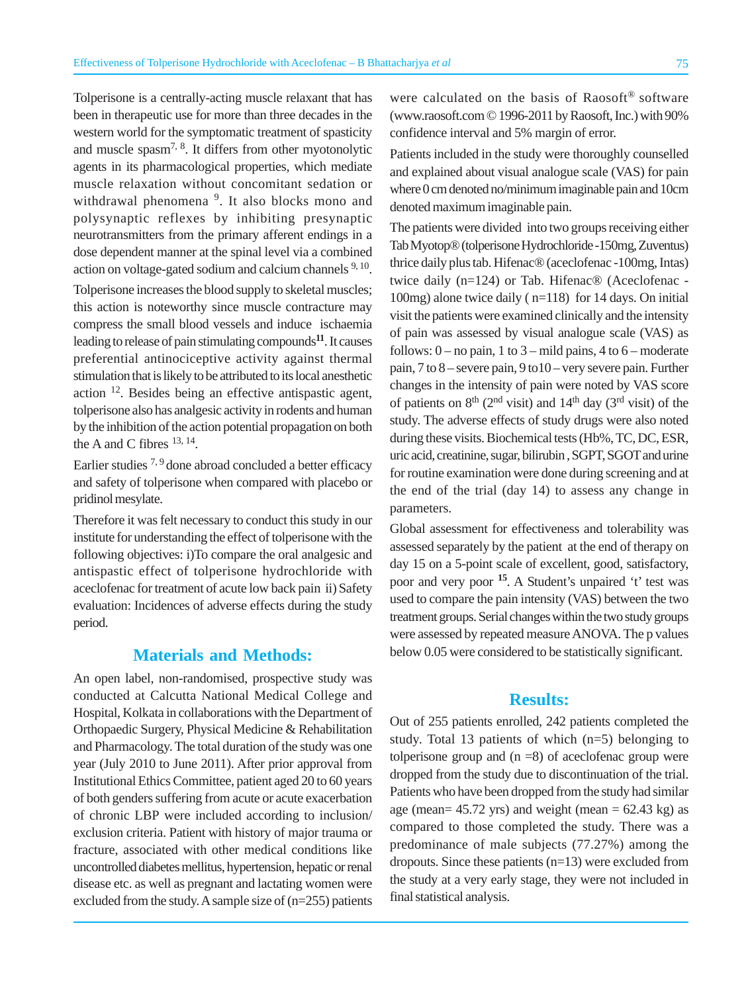Tolperisone is a centrally-acting muscle relaxant that has been in therapeutic use for more than three decades in the western world for the symptomatic treatment of spasticity and muscle spasm<sup>7, 8</sup>. It differs from other myotonolytic agents in its pharmacological properties, which mediate muscle relaxation without concomitant sedation or withdrawal phenomena<sup>9</sup>. It also blocks mono and polysynaptic reflexes by inhibiting presynaptic neurotransmitters from the primary afferent endings in a dose dependent manner at the spinal level via a combined action on voltage-gated sodium and calcium channels 9, 10.

Tolperisone increases the blood supply to skeletal muscles; this action is noteworthy since muscle contracture may compress the small blood vessels and induce ischaemia leading to release of pain stimulating compounds**11**. It causes preferential antinociceptive activity against thermal stimulation that is likely to be attributed to its local anesthetic action 12. Besides being an effective antispastic agent, tolperisone also has analgesic activity in rodents and human by the inhibition of the action potential propagation on both the A and C fibres  $^{13, 14}$ .

Earlier studies  $7,9$  done abroad concluded a better efficacy and safety of tolperisone when compared with placebo or pridinol mesylate.

Therefore it was felt necessary to conduct this study in our institute for understanding the effect of tolperisone with the following objectives: i)To compare the oral analgesic and antispastic effect of tolperisone hydrochloride with aceclofenac for treatment of acute low back pain ii) Safety evaluation: Incidences of adverse effects during the study period.

#### **Materials and Methods:**

An open label, non-randomised, prospective study was conducted at Calcutta National Medical College and Hospital, Kolkata in collaborations with the Department of Orthopaedic Surgery, Physical Medicine & Rehabilitation and Pharmacology. The total duration of the study was one year (July 2010 to June 2011). After prior approval from Institutional Ethics Committee, patient aged 20 to 60 years of both genders suffering from acute or acute exacerbation of chronic LBP were included according to inclusion/ exclusion criteria. Patient with history of major trauma or fracture, associated with other medical conditions like uncontrolled diabetes mellitus, hypertension, hepatic or renal disease etc. as well as pregnant and lactating women were excluded from the study. A sample size of (n=255) patients were calculated on the basis of Raosoft<sup>®</sup> software (www.raosoft.com © 1996-2011 by Raosoft, Inc.) with 90% confidence interval and 5% margin of error.

Patients included in the study were thoroughly counselled and explained about visual analogue scale (VAS) for pain where 0 cm denoted no/minimum imaginable pain and 10cm denoted maximum imaginable pain.

The patients were divided into two groups receiving either Tab Myotop® (tolperisone Hydrochloride -150mg, Zuventus) thrice daily plus tab. Hifenac® (aceclofenac -100mg, Intas) twice daily (n=124) or Tab. Hifenac® (Aceclofenac - 100mg) alone twice daily ( n=118) for 14 days. On initial visit the patients were examined clinically and the intensity of pain was assessed by visual analogue scale (VAS) as follows:  $0 - no$  pain, 1 to  $3 - mild$  pains, 4 to  $6 - moderate$ pain, 7 to 8 – severe pain, 9 to10 – very severe pain. Further changes in the intensity of pain were noted by VAS score of patients on  $8<sup>th</sup>$  (2<sup>nd</sup> visit) and 14<sup>th</sup> day (3<sup>rd</sup> visit) of the study. The adverse effects of study drugs were also noted during these visits. Biochemical tests (Hb%, TC, DC, ESR, uric acid, creatinine, sugar, bilirubin , SGPT, SGOT and urine for routine examination were done during screening and at the end of the trial (day 14) to assess any change in parameters.

Global assessment for effectiveness and tolerability was assessed separately by the patient at the end of therapy on day 15 on a 5-point scale of excellent, good, satisfactory, poor and very poor **<sup>15</sup>**. A Student's unpaired 't' test was used to compare the pain intensity (VAS) between the two treatment groups. Serial changes within the two study groups were assessed by repeated measure ANOVA. The p values below 0.05 were considered to be statistically significant.

#### **Results:**

Out of 255 patients enrolled, 242 patients completed the study. Total 13 patients of which (n=5) belonging to tolperisone group and  $(n = 8)$  of aceclofenac group were dropped from the study due to discontinuation of the trial. Patients who have been dropped from the study had similar age (mean=  $45.72$  yrs) and weight (mean =  $62.43$  kg) as compared to those completed the study. There was a predominance of male subjects (77.27%) among the dropouts. Since these patients (n=13) were excluded from the study at a very early stage, they were not included in final statistical analysis.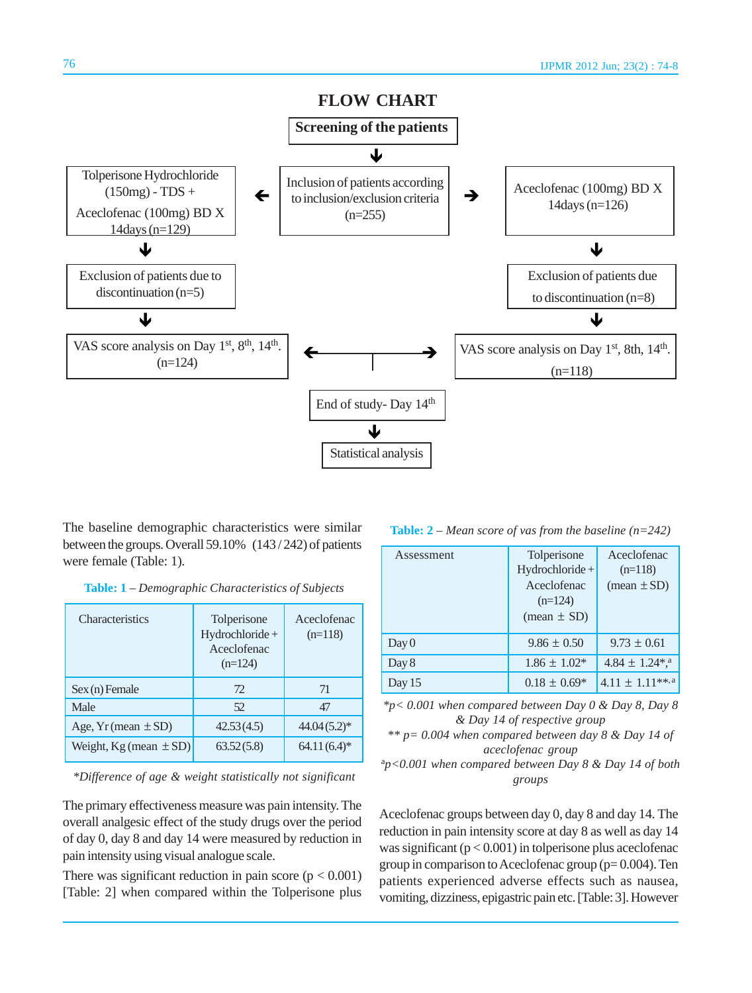

The baseline demographic characteristics were similar between the groups. Overall 59.10% (143 / 242) of patients were female (Table: 1).

| Table: 1 - Demographic Characteristics of Subjects |  |  |
|----------------------------------------------------|--|--|
|----------------------------------------------------|--|--|

| <b>Characteristics</b>        | Tolperisone<br>Hydrochloride +<br>Aceclofenac<br>$(n=124)$ | Aceclofenac<br>$(n=118)$ |
|-------------------------------|------------------------------------------------------------|--------------------------|
| $Sex(n)$ Female               | 72                                                         | 71                       |
| Male                          | 52                                                         | 47                       |
| Age, $Yr$ (mean $\pm SD$ )    | 42.53(4.5)                                                 | $44.04(5.2)*$            |
| Weight, $Kg$ (mean $\pm SD$ ) | 63.52(5.8)                                                 | $64.11(6.4)$ *           |

*\*Difference of age & weight statistically not significant*

The primary effectiveness measure was pain intensity. The overall analgesic effect of the study drugs over the period of day 0, day 8 and day 14 were measured by reduction in pain intensity using visual analogue scale.

There was significant reduction in pain score  $(p < 0.001)$ [Table: 2] when compared within the Tolperisone plus

**Table: 2** – *Mean score of vas from the baseline (n=242)*

| Assessment | Tolperisone<br>Hydrochloride+<br>Aceclofenac<br>$(n=124)$<br>$mean \pm SD$ | Aceclofenac<br>$(n=118)$<br>$(\text{mean} \pm \text{SD})$ |
|------------|----------------------------------------------------------------------------|-----------------------------------------------------------|
| Day 0      | $9.86 \pm 0.50$                                                            | $9.73 \pm 0.61$                                           |
| Day 8      | $1.86 \pm 1.02*$                                                           | $4.84 \pm 1.24$ <sup>*</sup> , <sup>a</sup>               |
| Day $15$   | $0.18 \pm 0.69*$                                                           | $4.11 \pm 1.11$ **, <sup>a</sup>                          |

*\*p< 0.001 when compared between Day 0 & Day 8, Day 8 & Day 14 of respective group*

*\*\* p= 0.004 when compared between day 8 & Day 14 of aceclofenac group*

a *p<0.001 when compared between Day 8 & Day 14 of both groups*

Aceclofenac groups between day 0, day 8 and day 14. The reduction in pain intensity score at day 8 as well as day 14 was significant  $(p < 0.001)$  in tolperisone plus aceclofenac group in comparison to Aceclofenac group ( $p= 0.004$ ). Ten patients experienced adverse effects such as nausea, vomiting, dizziness, epigastric pain etc.[Table: 3].However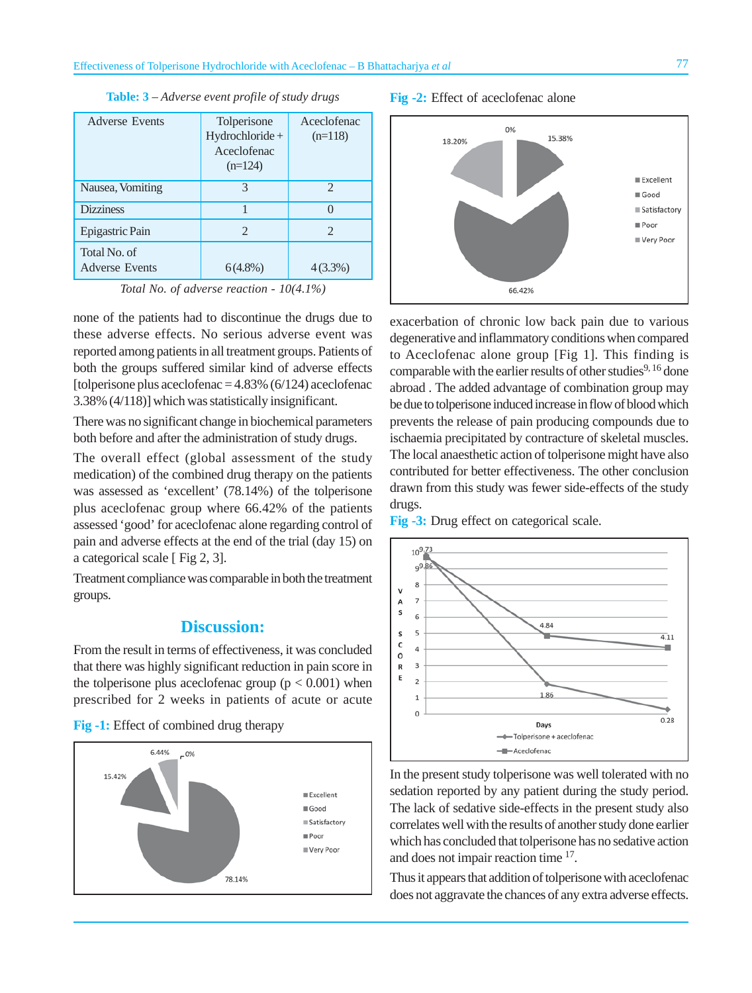| <b>Adverse Events</b>                 | Tolperisone<br>$Hydrochloride +$<br>Aceclofenac<br>$(n=124)$ | Aceclofenac<br>$(n=118)$ |
|---------------------------------------|--------------------------------------------------------------|--------------------------|
| Nausea, Vomiting                      | 3                                                            | 2                        |
| <b>Dizziness</b>                      |                                                              |                          |
| Epigastric Pain                       | 2                                                            | 2                        |
| Total No. of<br><b>Adverse Events</b> | $6(4.8\%)$                                                   | $4(3.3\%)$               |

**Table: 3** – *Adverse event profile of study drugs*

*Total No. of adverse reaction - 10(4.1%)*

none of the patients had to discontinue the drugs due to these adverse effects. No serious adverse event was reported among patients in all treatment groups. Patients of both the groups suffered similar kind of adverse effects [tolperisone plus aceclofenac  $=$  4.83% (6/124) aceclofenac 3.38% (4/118)] which was statistically insignificant.

There was no significant change in biochemical parameters both before and after the administration of study drugs.

The overall effect (global assessment of the study medication) of the combined drug therapy on the patients was assessed as 'excellent' (78.14%) of the tolperisone plus aceclofenac group where 66.42% of the patients assessed 'good' for aceclofenac alone regarding control of pain and adverse effects at the end of the trial (day 15) on a categorical scale [ Fig 2, 3].

Treatment compliance was comparable in both the treatment groups.

## **Discussion:**

From the result in terms of effectiveness, it was concluded that there was highly significant reduction in pain score in the tolperisone plus aceclofenac group  $(p < 0.001)$  when prescribed for 2 weeks in patients of acute or acute

**Fig -1:** Effect of combined drug therapy



#### **Fig -2:** Effect of aceclofenac alone



exacerbation of chronic low back pain due to various degenerative and inflammatory conditions when compared to Aceclofenac alone group [Fig 1]. This finding is comparable with the earlier results of other studies<sup>9, 16</sup> done abroad . The added advantage of combination group may be due to tolperisone induced increase in flow of blood which prevents the release of pain producing compounds due to ischaemia precipitated by contracture of skeletal muscles. The local anaesthetic action of tolperisone might have also contributed for better effectiveness. The other conclusion drawn from this study was fewer side-effects of the study drugs.

**Fig -3:** Drug effect on categorical scale.



In the present study tolperisone was well tolerated with no sedation reported by any patient during the study period. The lack of sedative side-effects in the present study also correlates well with the results of another study done earlier which has concluded that tolperisone has no sedative action and does not impair reaction time 17.

Thus it appears that addition of tolperisone with aceclofenac does not aggravate the chances of any extra adverse effects.